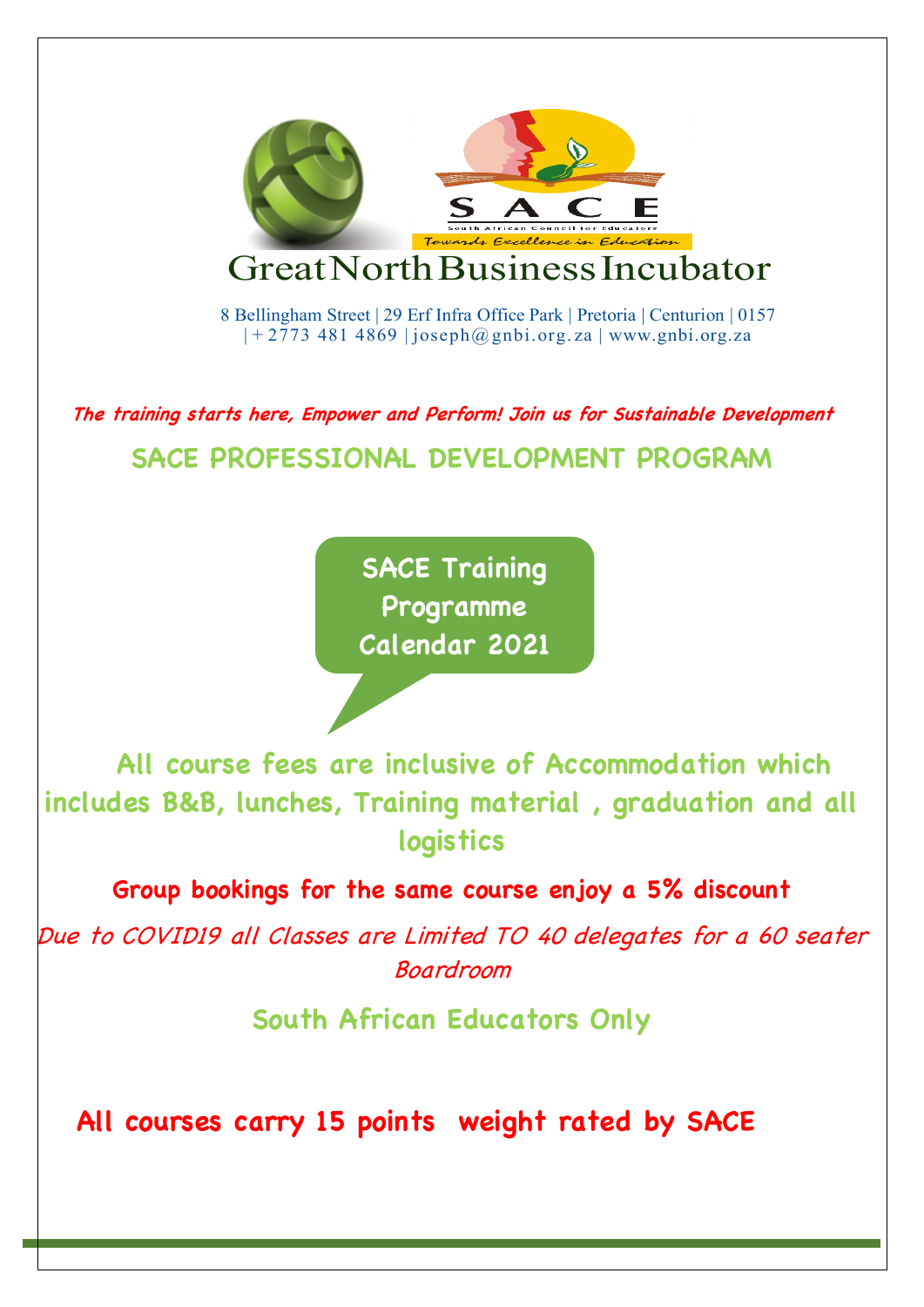

**The training starts here, Empower and Perform! Join us for Sustainable Development**

**SACE PROFESSIONAL DEVELOPMENT PROGRAM**

**SACE Training Programme Calendar 2021**

 **All course fees are inclusive of Accommodation which includes B&B, lunches, Training material , graduation and all logistics** 

**Group bookings for the same course enjoy a 5% discount**

Due to COVID19 all Classes are Limited TO 40 delegates for a 60 seater Boardroom

**South African Educators Only**

**All courses carry 15 points weight rated by SACE**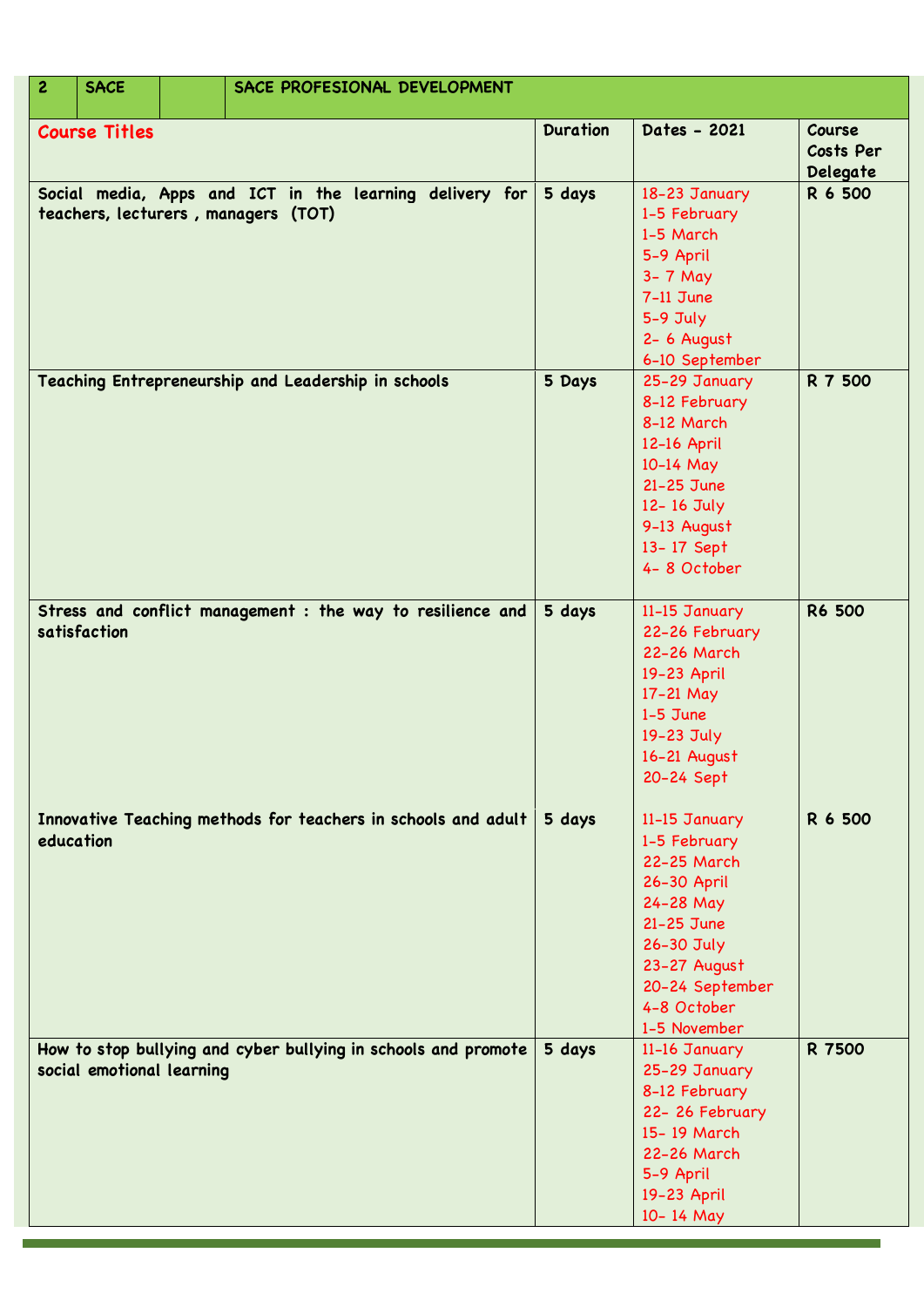| $\overline{c}$                                                                                 | <b>SACE</b>               |  | SACE PROFESIONAL DEVELOPMENT                                   |                                                                                                                                      |                                                                                                                                                                        |                                 |
|------------------------------------------------------------------------------------------------|---------------------------|--|----------------------------------------------------------------|--------------------------------------------------------------------------------------------------------------------------------------|------------------------------------------------------------------------------------------------------------------------------------------------------------------------|---------------------------------|
| <b>Course Titles</b>                                                                           |                           |  |                                                                | <b>Duration</b>                                                                                                                      | Dates - 2021                                                                                                                                                           | Course<br>Costs Per<br>Delegate |
| Social media, Apps and ICT in the learning delivery for<br>teachers, lecturers, managers (TOT) |                           |  | 5 days                                                         | 18-23 January<br>1-5 February<br>1-5 March<br>5-9 April<br>$3 - 7$ May<br>$7-11$ June<br>$5-9$ July<br>2- 6 August<br>6-10 September | R 6 500                                                                                                                                                                |                                 |
|                                                                                                |                           |  | Teaching Entrepreneurship and Leadership in schools            | 5 Days                                                                                                                               | 25-29 January<br>8-12 February<br>8-12 March<br>12-16 April<br>10-14 May<br>21-25 June<br>12-16 July<br>9-13 August<br>13-17 Sept<br>4-8 October                       | R 7 500                         |
|                                                                                                | satisfaction              |  | Stress and conflict management : the way to resilience and     | 5 days                                                                                                                               | 11-15 January<br>22-26 February<br>22-26 March<br>19-23 April<br>17-21 May<br>$1-5$ June<br>19-23 July<br>16-21 August<br>20-24 Sept                                   | <b>R6 500</b>                   |
| education                                                                                      |                           |  | Innovative Teaching methods for teachers in schools and adult  | 5 days                                                                                                                               | 11-15 January<br>1-5 February<br>22-25 March<br>26-30 April<br>24-28 May<br>21-25 June<br>26-30 July<br>23-27 August<br>20-24 September<br>4-8 October<br>1-5 November | R 6 500                         |
|                                                                                                | social emotional learning |  | How to stop bullying and cyber bullying in schools and promote | 5 days                                                                                                                               | 11-16 January<br>25-29 January<br>8-12 February<br>22-26 February<br>15-19 March<br>22-26 March<br>5-9 April<br>19-23 April<br>10-14 May                               | R 7500                          |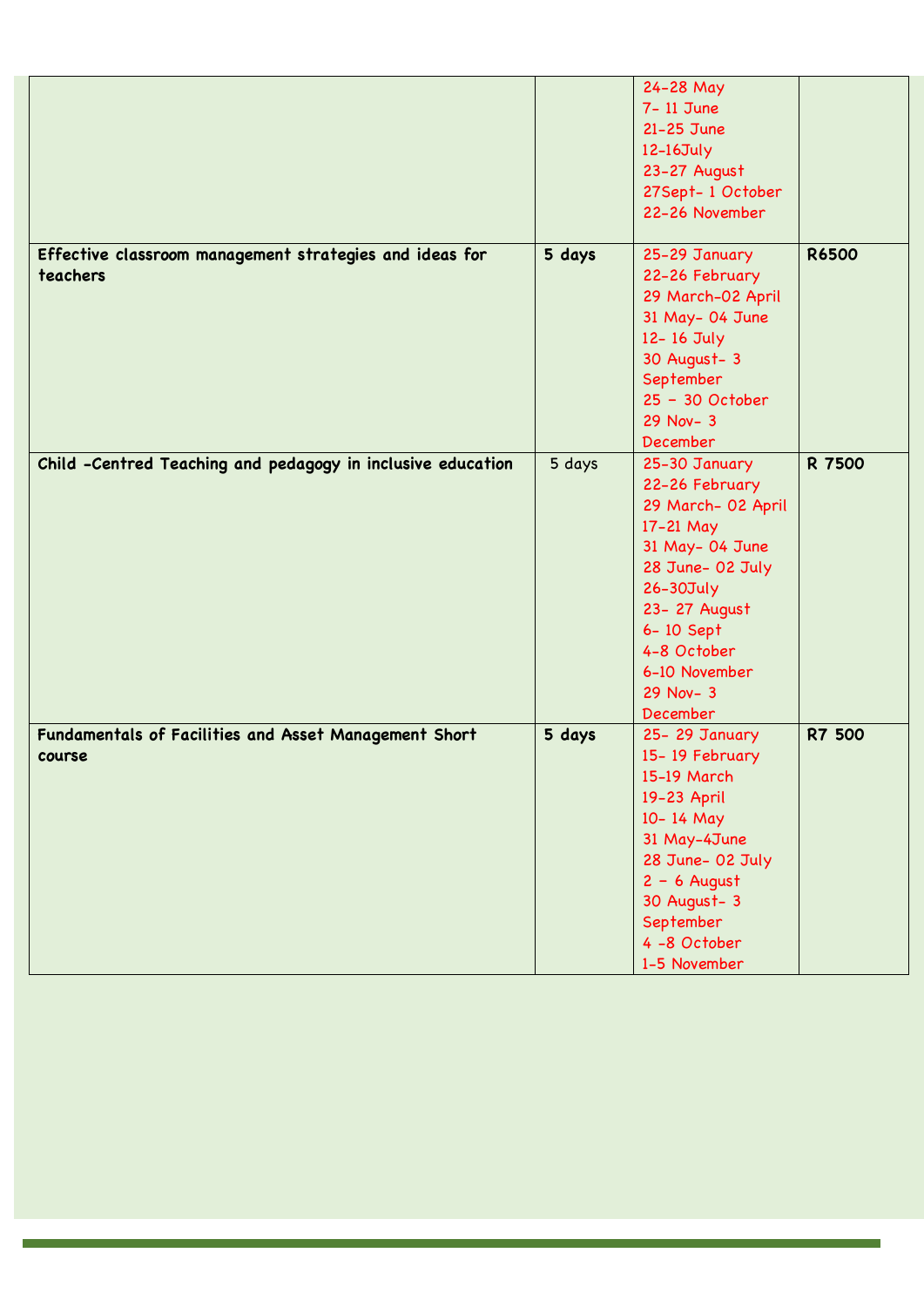|                                                             |        | 24-28 May          |               |
|-------------------------------------------------------------|--------|--------------------|---------------|
|                                                             |        | 7- 11 June         |               |
|                                                             |        | 21-25 June         |               |
|                                                             |        | 12-16July          |               |
|                                                             |        |                    |               |
|                                                             |        | 23-27 August       |               |
|                                                             |        | 27Sept-1 October   |               |
|                                                             |        | 22-26 November     |               |
|                                                             |        |                    |               |
| Effective classroom management strategies and ideas for     | 5 days | 25-29 January      | <b>R6500</b>  |
| teachers                                                    |        | 22-26 February     |               |
|                                                             |        | 29 March-02 April  |               |
|                                                             |        | 31 May- 04 June    |               |
|                                                             |        |                    |               |
|                                                             |        | 12-16 July         |               |
|                                                             |        | 30 August- 3       |               |
|                                                             |        | September          |               |
|                                                             |        | 25 - 30 October    |               |
|                                                             |        | $29$ Nov- $3$      |               |
|                                                             |        | <b>December</b>    |               |
| Child -Centred Teaching and pedagogy in inclusive education | 5 days | 25-30 January      | R 7500        |
|                                                             |        | 22-26 February     |               |
|                                                             |        | 29 March- 02 April |               |
|                                                             |        |                    |               |
|                                                             |        | 17-21 May          |               |
|                                                             |        | 31 May- 04 June    |               |
|                                                             |        | 28 June- 02 July   |               |
|                                                             |        | 26-30July          |               |
|                                                             |        | 23- 27 August      |               |
|                                                             |        | 6-10 Sept          |               |
|                                                             |        | 4-8 October        |               |
|                                                             |        | 6-10 November      |               |
|                                                             |        | $29$ Nov- 3        |               |
|                                                             |        |                    |               |
|                                                             |        | December           |               |
| Fundamentals of Facilities and Asset Management Short       | 5 days | 25-29 January      | <b>R7 500</b> |
| course                                                      |        | 15-19 February     |               |
|                                                             |        | 15-19 March        |               |
|                                                             |        | 19-23 April        |               |
|                                                             |        | 10-14 May          |               |
|                                                             |        | 31 May-4June       |               |
|                                                             |        | 28 June- 02 July   |               |
|                                                             |        | $2 - 6$ August     |               |
|                                                             |        | 30 August- 3       |               |
|                                                             |        |                    |               |
|                                                             |        | September          |               |
|                                                             |        | 4-8 October        |               |
|                                                             |        | 1-5 November       |               |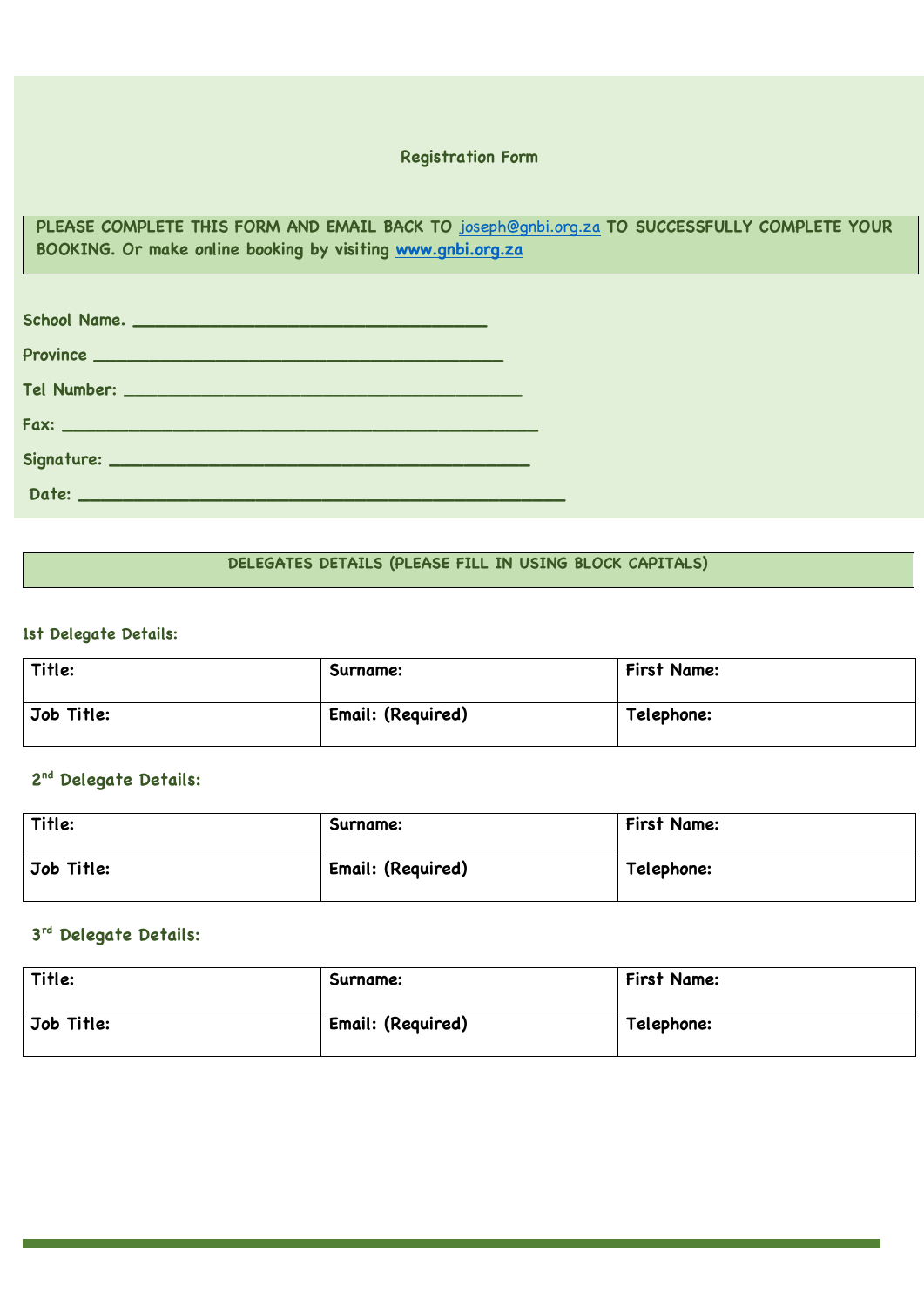## **Registration Form**

**PLEASE COMPLETE THIS FORM AND EMAIL BACK TO** joseph@gnbi.org.za **TO SUCCESSFULLY COMPLETE YOUR BOOKING. Or make online booking by visiting www.gnbi.org.za**

| School Name. |  |
|--------------|--|
|              |  |
|              |  |
|              |  |
|              |  |
|              |  |

## **DELEGATES DETAILS (PLEASE FILL IN USING BLOCK CAPITALS)**

### **1st Delegate Details:**

| Title:     | Surname:          | First Name: |
|------------|-------------------|-------------|
| Job Title: | Email: (Required) | Telephone:  |

# **2nd Delegate Details:**

| Title:     | Surname:          | First Name: |
|------------|-------------------|-------------|
| Job Title: | Email: (Required) | Telephone:  |

# **3rd Delegate Details:**

| Title:     | Surname:          | First Name: |
|------------|-------------------|-------------|
| Job Title: | Email: (Required) | Telephone:  |